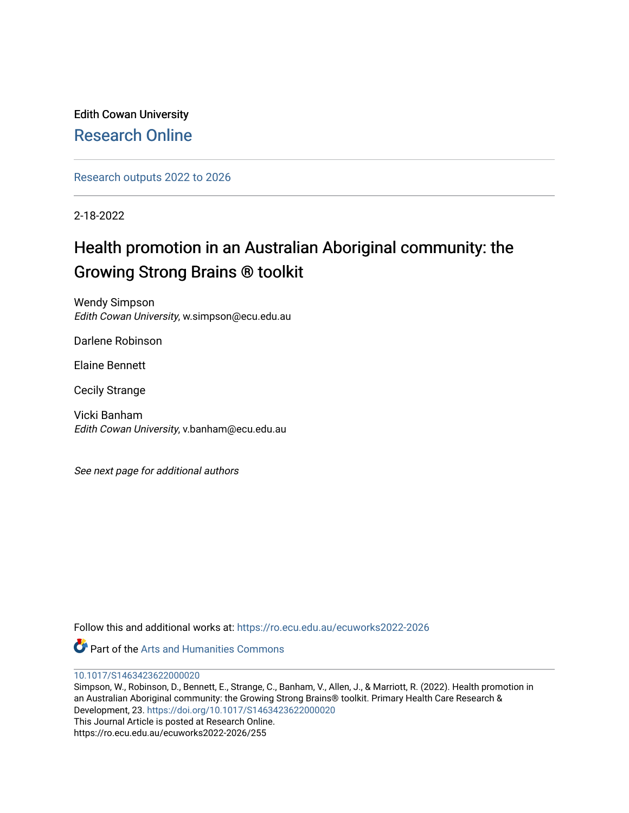Edith Cowan University [Research Online](https://ro.ecu.edu.au/) 

[Research outputs 2022 to 2026](https://ro.ecu.edu.au/ecuworks2022-2026) 

2-18-2022

# Health promotion in an Australian Aboriginal community: the Growing Strong Brains ® toolkit

Wendy Simpson Edith Cowan University, w.simpson@ecu.edu.au

Darlene Robinson

Elaine Bennett

Cecily Strange

Vicki Banham Edith Cowan University, v.banham@ecu.edu.au

See next page for additional authors

Follow this and additional works at: [https://ro.ecu.edu.au/ecuworks2022-2026](https://ro.ecu.edu.au/ecuworks2022-2026?utm_source=ro.ecu.edu.au%2Fecuworks2022-2026%2F255&utm_medium=PDF&utm_campaign=PDFCoverPages)

**C** Part of the Arts and Humanities Commons

[10.1017/S1463423622000020](http://dx.doi.org/10.1017/S1463423622000020) 

Simpson, W., Robinson, D., Bennett, E., Strange, C., Banham, V., Allen, J., & Marriott, R. (2022). Health promotion in an Australian Aboriginal community: the Growing Strong Brains® toolkit. Primary Health Care Research & Development, 23.<https://doi.org/10.1017/S1463423622000020> This Journal Article is posted at Research Online. https://ro.ecu.edu.au/ecuworks2022-2026/255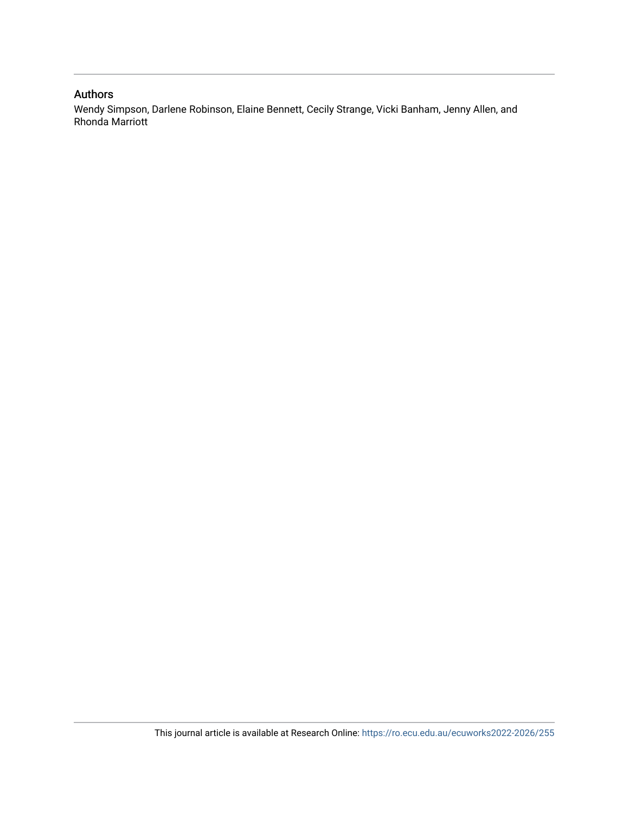# Authors

Wendy Simpson, Darlene Robinson, Elaine Bennett, Cecily Strange, Vicki Banham, Jenny Allen, and Rhonda Marriott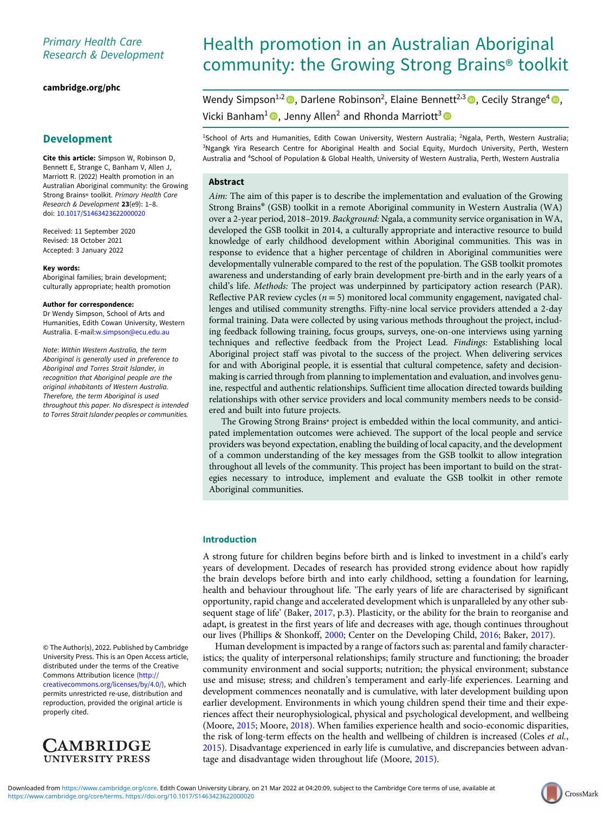# Primary Health Care Research & Development

## [cambridge.org/phc](https://www.cambridge.org/phc)

# Development

Cite this article: Simpson W, Robinson D, Bennett E, Strange C, Banham V, Allen J, Marriott R. (2022) Health promotion in an Australian Aboriginal community: the Growing Strong Brains® toolkit. Primary Health Care Research & Development 23(e9): 1–8. doi: [10.1017/S1463423622000020](https://doi.org/10.1017/S1463423622000020)

Received: 11 September 2020 Revised: 18 October 2021 Accepted: 3 January 2022

#### Key words:

Aboriginal families; brain development; culturally appropriate; health promotion

#### Author for correspondence:

Dr Wendy Simpson, School of Arts and Humanities, Edith Cowan University, Western Australia. E-mail:[w.simpson@ecu.edu.au](mailto:w.simpson@ecu.edu.au)

Note: Within Western Australia, the term Aboriginal is generally used in preference to Aboriginal and Torres Strait Islander, in recognition that Aboriginal people are the original inhabitants of Western Australia. Therefore, the term Aboriginal is used throughout this paper. No disrespect is intended to Torres Strait Islander peoples or communities.

© The Author(s), 2022. Published by Cambridge University Press. This is an Open Access article, distributed under the terms of the Creative Commons Attribution licence ([http://](http://creativecommons.org/licenses/by/4.0/) [creativecommons.org/licenses/by/4.0/\)](http://creativecommons.org/licenses/by/4.0/), which permits unrestricted re-use, distribution and reproduction, provided the original article is properly cited.



# Health promotion in an Australian Aboriginal community: the Growing Strong Brains® toolkit

Wendy Simpson<sup>1,2</sup> <sup>O</sup>, Darlene Robinson<sup>2</sup>, Elaine Bennett<sup>2,3</sup> O, Cecily Strange<sup>4</sup> O, Vicki Banham<sup>1</sup><sup>0</sup>, Jenny Allen<sup>2</sup> and Rhonda Marriott<sup>3</sup><sup>0</sup>

<sup>1</sup>School of Arts and Humanities, Edith Cowan University, Western Australia; <sup>2</sup>Ngala, Perth, Western Australia; 3 Ngangk Yira Research Centre for Aboriginal Health and Social Equity, Murdoch University, Perth, Western Australia and <sup>4</sup> School of Population & Global Health, University of Western Australia, Perth, Western Australia

# Abstract

Aim: The aim of this paper is to describe the implementation and evaluation of the Growing Strong Brains® (GSB) toolkit in a remote Aboriginal community in Western Australia (WA) over a 2-year period, 2018–2019. Background: Ngala, a community service organisation in WA, developed the GSB toolkit in 2014, a culturally appropriate and interactive resource to build knowledge of early childhood development within Aboriginal communities. This was in response to evidence that a higher percentage of children in Aboriginal communities were developmentally vulnerable compared to the rest of the population. The GSB toolkit promotes awareness and understanding of early brain development pre-birth and in the early years of a child's life. Methods: The project was underpinned by participatory action research (PAR). Reflective PAR review cycles ( $n = 5$ ) monitored local community engagement, navigated challenges and utilised community strengths. Fifty-nine local service providers attended a 2-day formal training. Data were collected by using various methods throughout the project, including feedback following training, focus groups, surveys, one-on-one interviews using yarning techniques and reflective feedback from the Project Lead. Findings: Establishing local Aboriginal project staff was pivotal to the success of the project. When delivering services for and with Aboriginal people, it is essential that cultural competence, safety and decisionmaking is carried through from planning to implementation and evaluation, and involves genuine, respectful and authentic relationships. Sufficient time allocation directed towards building relationships with other service providers and local community members needs to be considered and built into future projects.

The Growing Strong Brains® project is embedded within the local community, and anticipated implementation outcomes were achieved. The support of the local people and service providers was beyond expectation, enabling the building of local capacity, and the development of a common understanding of the key messages from the GSB toolkit to allow integration throughout all levels of the community. This project has been important to build on the strategies necessary to introduce, implement and evaluate the GSB toolkit in other remote Aboriginal communities.

# Introduction

A strong future for children begins before birth and is linked to investment in a child's early years of development. Decades of research has provided strong evidence about how rapidly the brain develops before birth and into early childhood, setting a foundation for learning, health and behaviour throughout life. 'The early years of life are characterised by significant opportunity, rapid change and accelerated development which is unparalleled by any other subsequent stage of life' (Baker, [2017,](#page-9-0) p.3). Plasticity, or the ability for the brain to reorganise and adapt, is greatest in the first years of life and decreases with age, though continues throughout our lives (Phillips & Shonkoff, [2000](#page-9-0); Center on the Developing Child, [2016;](#page-9-0) Baker, [2017\)](#page-9-0).

Human development is impacted by a range of factors such as: parental and family characteristics; the quality of interpersonal relationships; family structure and functioning; the broader community environment and social supports; nutrition; the physical environment; substance use and misuse; stress; and children's temperament and early-life experiences. Learning and development commences neonatally and is cumulative, with later development building upon earlier development. Environments in which young children spend their time and their experiences affect their neurophysiological, physical and psychological development, and wellbeing (Moore, [2015](#page-9-0); Moore, [2018\)](#page-9-0). When families experience health and socio-economic disparities, the risk of long-term effects on the health and wellbeing of children is increased (Coles *et al.*, [2015](#page-9-0)). Disadvantage experienced in early life is cumulative, and discrepancies between advan-tage and disadvantage widen throughout life (Moore, [2015](#page-9-0)).

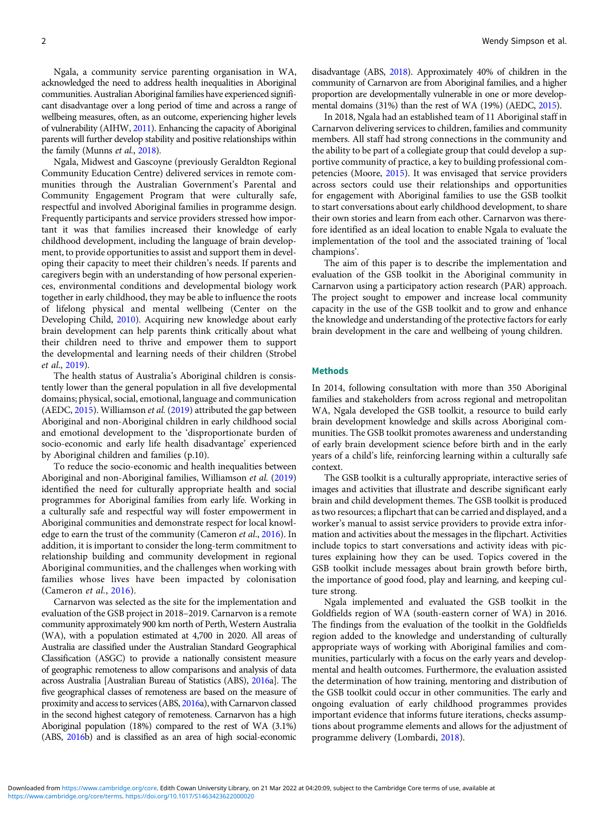Ngala, a community service parenting organisation in WA, acknowledged the need to address health inequalities in Aboriginal communities. Australian Aboriginal families have experienced significant disadvantage over a long period of time and across a range of wellbeing measures, often, as an outcome, experiencing higher levels of vulnerability (AIHW, [2011\)](#page-9-0). Enhancing the capacity of Aboriginal parents will further develop stability and positive relationships within the family (Munns et al., [2018](#page-9-0)).

Ngala, Midwest and Gascoyne (previously Geraldton Regional Community Education Centre) delivered services in remote communities through the Australian Government's Parental and Community Engagement Program that were culturally safe, respectful and involved Aboriginal families in programme design. Frequently participants and service providers stressed how important it was that families increased their knowledge of early childhood development, including the language of brain development, to provide opportunities to assist and support them in developing their capacity to meet their children's needs. If parents and caregivers begin with an understanding of how personal experiences, environmental conditions and developmental biology work together in early childhood, they may be able to influence the roots of lifelong physical and mental wellbeing (Center on the Developing Child, [2010](#page-9-0)). Acquiring new knowledge about early brain development can help parents think critically about what their children need to thrive and empower them to support the developmental and learning needs of their children (Strobel et al., [2019](#page-9-0)).

The health status of Australia's Aboriginal children is consistently lower than the general population in all five developmental domains; physical, social, emotional, language and communication (AEDC, [2015\)](#page-9-0). Williamson et al. ([2019](#page-9-0)) attributed the gap between Aboriginal and non-Aboriginal children in early childhood social and emotional development to the 'disproportionate burden of socio-economic and early life health disadvantage' experienced by Aboriginal children and families (p.10).

To reduce the socio-economic and health inequalities between Aboriginal and non-Aboriginal families, Williamson et al. ([2019](#page-9-0)) identified the need for culturally appropriate health and social programmes for Aboriginal families from early life. Working in a culturally safe and respectful way will foster empowerment in Aboriginal communities and demonstrate respect for local knowledge to earn the trust of the community (Cameron et al., [2016\)](#page-9-0). In addition, it is important to consider the long-term commitment to relationship building and community development in regional Aboriginal communities, and the challenges when working with families whose lives have been impacted by colonisation (Cameron et al., [2016](#page-9-0)).

Carnarvon was selected as the site for the implementation and evaluation of the GSB project in 2018–2019. Carnarvon is a remote community approximately 900 km north of Perth, Western Australia (WA), with a population estimated at 4,700 in 2020. All areas of Australia are classified under the Australian Standard Geographical Classification (ASGC) to provide a nationally consistent measure of geographic remoteness to allow comparisons and analysis of data across Australia [Australian Bureau of Statistics (ABS), [2016](#page-9-0)a]. The five geographical classes of remoteness are based on the measure of proximity and access to services (ABS, [2016](#page-9-0)a), with Carnarvon classed in the second highest category of remoteness. Carnarvon has a high Aboriginal population (18%) compared to the rest of WA (3.1%) (ABS, [2016b](#page-9-0)) and is classified as an area of high social-economic

disadvantage (ABS, [2018\)](#page-9-0). Approximately 40% of children in the community of Carnarvon are from Aboriginal families, and a higher proportion are developmentally vulnerable in one or more developmental domains (31%) than the rest of WA (19%) (AEDC, [2015](#page-9-0)).

In 2018, Ngala had an established team of 11 Aboriginal staff in Carnarvon delivering services to children, families and community members. All staff had strong connections in the community and the ability to be part of a collegiate group that could develop a supportive community of practice, a key to building professional competencies (Moore, [2015\)](#page-9-0). It was envisaged that service providers across sectors could use their relationships and opportunities for engagement with Aboriginal families to use the GSB toolkit to start conversations about early childhood development, to share their own stories and learn from each other. Carnarvon was therefore identified as an ideal location to enable Ngala to evaluate the implementation of the tool and the associated training of 'local champions'.

The aim of this paper is to describe the implementation and evaluation of the GSB toolkit in the Aboriginal community in Carnarvon using a participatory action research (PAR) approach. The project sought to empower and increase local community capacity in the use of the GSB toolkit and to grow and enhance the knowledge and understanding of the protective factors for early brain development in the care and wellbeing of young children.

#### Methods

In 2014, following consultation with more than 350 Aboriginal families and stakeholders from across regional and metropolitan WA, Ngala developed the GSB toolkit, a resource to build early brain development knowledge and skills across Aboriginal communities. The GSB toolkit promotes awareness and understanding of early brain development science before birth and in the early years of a child's life, reinforcing learning within a culturally safe context.

The GSB toolkit is a culturally appropriate, interactive series of images and activities that illustrate and describe significant early brain and child development themes. The GSB toolkit is produced as two resources; a flipchart that can be carried and displayed, and a worker's manual to assist service providers to provide extra information and activities about the messages in the flipchart. Activities include topics to start conversations and activity ideas with pictures explaining how they can be used. Topics covered in the GSB toolkit include messages about brain growth before birth, the importance of good food, play and learning, and keeping culture strong.

Ngala implemented and evaluated the GSB toolkit in the Goldfields region of WA (south-eastern corner of WA) in 2016. The findings from the evaluation of the toolkit in the Goldfields region added to the knowledge and understanding of culturally appropriate ways of working with Aboriginal families and communities, particularly with a focus on the early years and developmental and health outcomes. Furthermore, the evaluation assisted the determination of how training, mentoring and distribution of the GSB toolkit could occur in other communities. The early and ongoing evaluation of early childhood programmes provides important evidence that informs future iterations, checks assumptions about programme elements and allows for the adjustment of programme delivery (Lombardi, [2018\)](#page-9-0).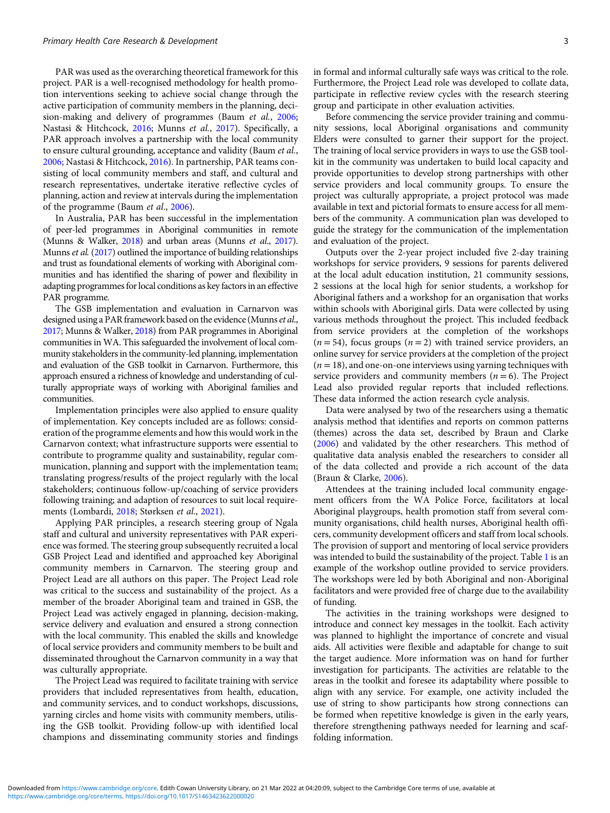PAR was used as the overarching theoretical framework for this project. PAR is a well-recognised methodology for health promotion interventions seeking to achieve social change through the active participation of community members in the planning, decision-making and delivery of programmes (Baum et al., [2006;](#page-9-0) Nastasi & Hitchcock, [2016;](#page-9-0) Munns et al., [2017](#page-9-0)). Specifically, a PAR approach involves a partnership with the local community to ensure cultural grounding, acceptance and validity (Baum et al., [2006](#page-9-0); Nastasi & Hitchcock, [2016](#page-9-0)). In partnership, PAR teams consisting of local community members and staff, and cultural and research representatives, undertake iterative reflective cycles of planning, action and review at intervals during the implementation of the programme (Baum et al., [2006\)](#page-9-0).

In Australia, PAR has been successful in the implementation of peer-led programmes in Aboriginal communities in remote (Munns & Walker, [2018\)](#page-9-0) and urban areas (Munns et al., [2017\)](#page-9-0). Munns et al. [\(2017\)](#page-9-0) outlined the importance of building relationships and trust as foundational elements of working with Aboriginal communities and has identified the sharing of power and flexibility in adapting programmes for local conditions as key factors in an effective PAR programme.

The GSB implementation and evaluation in Carnarvon was designed using a PAR framework based on the evidence (Munns et al., [2017](#page-9-0); Munns & Walker, [2018](#page-9-0)) from PAR programmes in Aboriginal communities in WA. This safeguarded the involvement of local community stakeholders in the community-led planning, implementation and evaluation of the GSB toolkit in Carnarvon. Furthermore, this approach ensured a richness of knowledge and understanding of culturally appropriate ways of working with Aboriginal families and communities.

Implementation principles were also applied to ensure quality of implementation. Key concepts included are as follows: consideration of the programme elements and how this would work in the Carnarvon context; what infrastructure supports were essential to contribute to programme quality and sustainability, regular communication, planning and support with the implementation team; translating progress/results of the project regularly with the local stakeholders; continuous follow-up/coaching of service providers following training; and adaption of resources to suit local requirements (Lombardi, [2018;](#page-9-0) Størksen et al., [2021](#page-9-0)).

Applying PAR principles, a research steering group of Ngala staff and cultural and university representatives with PAR experience was formed. The steering group subsequently recruited a local GSB Project Lead and identified and approached key Aboriginal community members in Carnarvon. The steering group and Project Lead are all authors on this paper. The Project Lead role was critical to the success and sustainability of the project. As a member of the broader Aboriginal team and trained in GSB, the Project Lead was actively engaged in planning, decision-making, service delivery and evaluation and ensured a strong connection with the local community. This enabled the skills and knowledge of local service providers and community members to be built and disseminated throughout the Carnarvon community in a way that was culturally appropriate.

The Project Lead was required to facilitate training with service providers that included representatives from health, education, and community services, and to conduct workshops, discussions, yarning circles and home visits with community members, utilising the GSB toolkit. Providing follow-up with identified local champions and disseminating community stories and findings in formal and informal culturally safe ways was critical to the role. Furthermore, the Project Lead role was developed to collate data, participate in reflective review cycles with the research steering group and participate in other evaluation activities.

Before commencing the service provider training and community sessions, local Aboriginal organisations and community Elders were consulted to garner their support for the project. The training of local service providers in ways to use the GSB toolkit in the community was undertaken to build local capacity and provide opportunities to develop strong partnerships with other service providers and local community groups. To ensure the project was culturally appropriate, a project protocol was made available in text and pictorial formats to ensure access for all members of the community. A communication plan was developed to guide the strategy for the communication of the implementation and evaluation of the project.

Outputs over the 2-year project included five 2-day training workshops for service providers, 9 sessions for parents delivered at the local adult education institution, 21 community sessions, 2 sessions at the local high for senior students, a workshop for Aboriginal fathers and a workshop for an organisation that works within schools with Aboriginal girls. Data were collected by using various methods throughout the project. This included feedback from service providers at the completion of the workshops  $(n = 54)$ , focus groups  $(n = 2)$  with trained service providers, an online survey for service providers at the completion of the project  $(n = 18)$ , and one-on-one interviews using yarning techniques with service providers and community members ( $n = 6$ ). The Project Lead also provided regular reports that included reflections. These data informed the action research cycle analysis.

Data were analysed by two of the researchers using a thematic analysis method that identifies and reports on common patterns (themes) across the data set, described by Braun and Clarke [\(2006\)](#page-9-0) and validated by the other researchers. This method of qualitative data analysis enabled the researchers to consider all of the data collected and provide a rich account of the data (Braun & Clarke, [2006](#page-9-0)).

Attendees at the training included local community engagement officers from the WA Police Force, facilitators at local Aboriginal playgroups, health promotion staff from several community organisations, child health nurses, Aboriginal health officers, community development officers and staff from local schools. The provision of support and mentoring of local service providers was intended to build the sustainability of the project. Table [1](#page-5-0) is an example of the workshop outline provided to service providers. The workshops were led by both Aboriginal and non-Aboriginal facilitators and were provided free of charge due to the availability of funding.

The activities in the training workshops were designed to introduce and connect key messages in the toolkit. Each activity was planned to highlight the importance of concrete and visual aids. All activities were flexible and adaptable for change to suit the target audience. More information was on hand for further investigation for participants. The activities are relatable to the areas in the toolkit and foresee its adaptability where possible to align with any service. For example, one activity included the use of string to show participants how strong connections can be formed when repetitive knowledge is given in the early years, therefore strengthening pathways needed for learning and scaffolding information.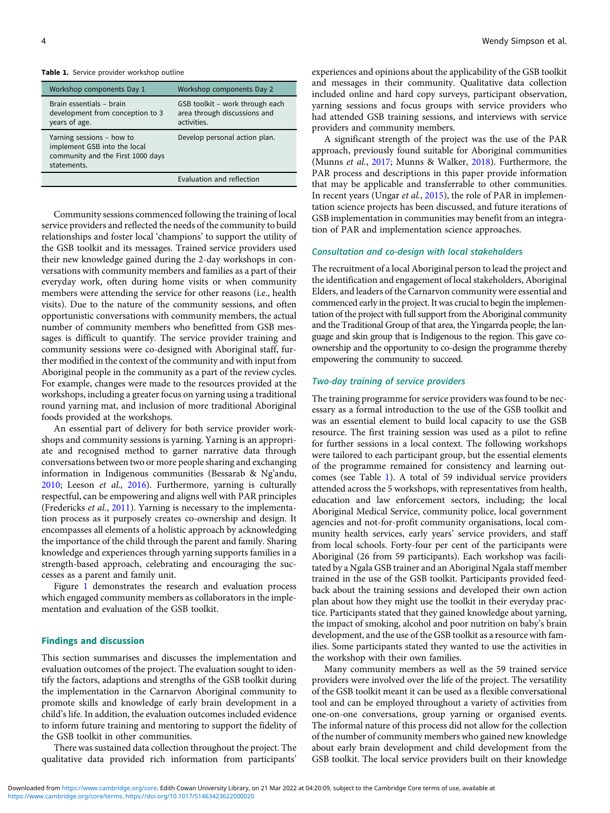#### <span id="page-5-0"></span>Table 1. Service provider workshop outline

| Workshop components Day 1                                                                                     | Workshop components Day 2                                                      |
|---------------------------------------------------------------------------------------------------------------|--------------------------------------------------------------------------------|
| Brain essentials - brain<br>development from conception to 3<br>years of age.                                 | GSB toolkit - work through each<br>area through discussions and<br>activities. |
| Yarning sessions - how to<br>implement GSB into the local<br>community and the First 1000 days<br>statements. | Develop personal action plan.                                                  |
|                                                                                                               | Evaluation and reflection                                                      |

Community sessions commenced following the training of local service providers and reflected the needs of the community to build relationships and foster local 'champions' to support the utility of the GSB toolkit and its messages. Trained service providers used their new knowledge gained during the 2-day workshops in conversations with community members and families as a part of their everyday work, often during home visits or when community members were attending the service for other reasons (i.e., health visits). Due to the nature of the community sessions, and often opportunistic conversations with community members, the actual number of community members who benefitted from GSB messages is difficult to quantify. The service provider training and community sessions were co-designed with Aboriginal staff, further modified in the context of the community and with input from Aboriginal people in the community as a part of the review cycles. For example, changes were made to the resources provided at the workshops, including a greater focus on yarning using a traditional round yarning mat, and inclusion of more traditional Aboriginal foods provided at the workshops.

An essential part of delivery for both service provider workshops and community sessions is yarning. Yarning is an appropriate and recognised method to garner narrative data through conversations between two or more people sharing and exchanging information in Indigenous communities (Bessarab & Ng'andu, [2010;](#page-9-0) Leeson et al., [2016\)](#page-9-0). Furthermore, yarning is culturally respectful, can be empowering and aligns well with PAR principles (Fredericks et al., [2011](#page-9-0)). Yarning is necessary to the implementation process as it purposely creates co-ownership and design. It encompasses all elements of a holistic approach by acknowledging the importance of the child through the parent and family. Sharing knowledge and experiences through yarning supports families in a strength-based approach, celebrating and encouraging the successes as a parent and family unit.

Figure [1](#page-6-0) demonstrates the research and evaluation process which engaged community members as collaborators in the implementation and evaluation of the GSB toolkit.

#### Findings and discussion

This section summarises and discusses the implementation and evaluation outcomes of the project. The evaluation sought to identify the factors, adaptions and strengths of the GSB toolkit during the implementation in the Carnarvon Aboriginal community to promote skills and knowledge of early brain development in a child's life. In addition, the evaluation outcomes included evidence to inform future training and mentoring to support the fidelity of the GSB toolkit in other communities.

There was sustained data collection throughout the project. The qualitative data provided rich information from participants' experiences and opinions about the applicability of the GSB toolkit and messages in their community. Qualitative data collection included online and hard copy surveys, participant observation, yarning sessions and focus groups with service providers who had attended GSB training sessions, and interviews with service providers and community members.

A significant strength of the project was the use of the PAR approach, previously found suitable for Aboriginal communities (Munns et al., [2017](#page-9-0); Munns & Walker, [2018\)](#page-9-0). Furthermore, the PAR process and descriptions in this paper provide information that may be applicable and transferrable to other communities. In recent years (Ungar et al., [2015](#page-9-0)), the role of PAR in implementation science projects has been discussed, and future iterations of GSB implementation in communities may benefit from an integration of PAR and implementation science approaches.

#### Consultation and co-design with local stakeholders

The recruitment of a local Aboriginal person to lead the project and the identification and engagement of local stakeholders, Aboriginal Elders, and leaders of the Carnarvon community were essential and commenced early in the project. It was crucial to begin the implementation of the project with full support from the Aboriginal community and the Traditional Group of that area, the Yingarrda people; the language and skin group that is Indigenous to the region. This gave coownership and the opportunity to co-design the programme thereby empowering the community to succeed.

## Two-day training of service providers

The training programme for service providers was found to be necessary as a formal introduction to the use of the GSB toolkit and was an essential element to build local capacity to use the GSB resource. The first training session was used as a pilot to refine for further sessions in a local context. The following workshops were tailored to each participant group, but the essential elements of the programme remained for consistency and learning outcomes (see Table 1). A total of 59 individual service providers attended across the 5 workshops, with representatives from health, education and law enforcement sectors, including; the local Aboriginal Medical Service, community police, local government agencies and not-for-profit community organisations, local community health services, early years' service providers, and staff from local schools. Forty-four per cent of the participants were Aboriginal (26 from 59 participants). Each workshop was facilitated by a Ngala GSB trainer and an Aboriginal Ngala staff member trained in the use of the GSB toolkit. Participants provided feedback about the training sessions and developed their own action plan about how they might use the toolkit in their everyday practice. Participants stated that they gained knowledge about yarning, the impact of smoking, alcohol and poor nutrition on baby's brain development, and the use of the GSB toolkit as a resource with families. Some participants stated they wanted to use the activities in the workshop with their own families.

Many community members as well as the 59 trained service providers were involved over the life of the project. The versatility of the GSB toolkit meant it can be used as a flexible conversational tool and can be employed throughout a variety of activities from one-on-one conversations, group yarning or organised events. The informal nature of this process did not allow for the collection of the number of community members who gained new knowledge about early brain development and child development from the GSB toolkit. The local service providers built on their knowledge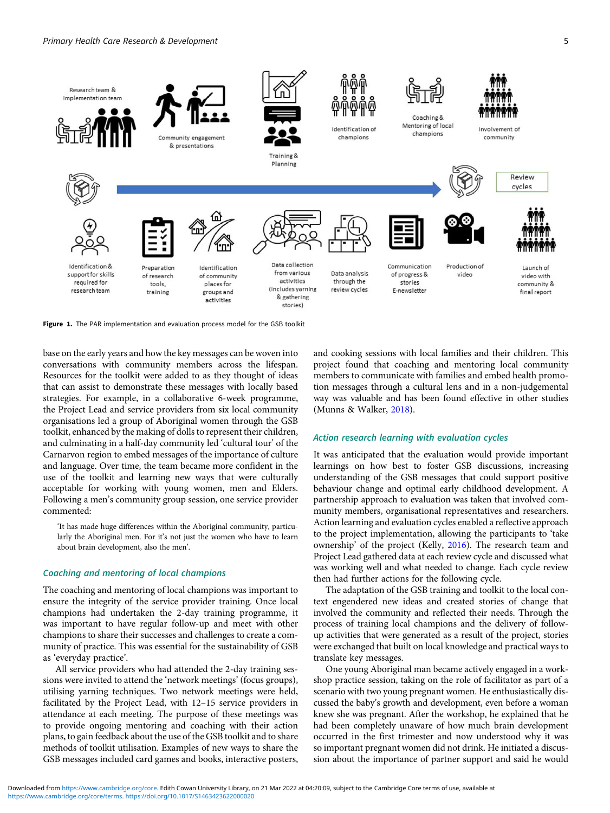<span id="page-6-0"></span>

Figure 1. The PAR implementation and evaluation process model for the GSB toolkit

base on the early years and how the key messages can be woven into conversations with community members across the lifespan. Resources for the toolkit were added to as they thought of ideas that can assist to demonstrate these messages with locally based strategies. For example, in a collaborative 6-week programme, the Project Lead and service providers from six local community organisations led a group of Aboriginal women through the GSB toolkit, enhanced by the making of dolls to represent their children, and culminating in a half-day community led 'cultural tour' of the Carnarvon region to embed messages of the importance of culture and language. Over time, the team became more confident in the use of the toolkit and learning new ways that were culturally acceptable for working with young women, men and Elders. Following a men's community group session, one service provider commented:

'It has made huge differences within the Aboriginal community, particularly the Aboriginal men. For it's not just the women who have to learn about brain development, also the men'.

## Coaching and mentoring of local champions

The coaching and mentoring of local champions was important to ensure the integrity of the service provider training. Once local champions had undertaken the 2-day training programme, it was important to have regular follow-up and meet with other champions to share their successes and challenges to create a community of practice. This was essential for the sustainability of GSB as 'everyday practice'.

All service providers who had attended the 2-day training sessions were invited to attend the 'network meetings' (focus groups), utilising yarning techniques. Two network meetings were held, facilitated by the Project Lead, with 12–15 service providers in attendance at each meeting. The purpose of these meetings was to provide ongoing mentoring and coaching with their action plans, to gain feedback about the use of the GSB toolkit and to share methods of toolkit utilisation. Examples of new ways to share the GSB messages included card games and books, interactive posters, and cooking sessions with local families and their children. This project found that coaching and mentoring local community members to communicate with families and embed health promotion messages through a cultural lens and in a non-judgemental way was valuable and has been found effective in other studies (Munns & Walker, [2018\)](#page-9-0).

#### Action research learning with evaluation cycles

It was anticipated that the evaluation would provide important learnings on how best to foster GSB discussions, increasing understanding of the GSB messages that could support positive behaviour change and optimal early childhood development. A partnership approach to evaluation was taken that involved community members, organisational representatives and researchers. Action learning and evaluation cycles enabled a reflective approach to the project implementation, allowing the participants to 'take ownership' of the project (Kelly, [2016](#page-9-0)). The research team and Project Lead gathered data at each review cycle and discussed what was working well and what needed to change. Each cycle review then had further actions for the following cycle.

The adaptation of the GSB training and toolkit to the local context engendered new ideas and created stories of change that involved the community and reflected their needs. Through the process of training local champions and the delivery of followup activities that were generated as a result of the project, stories were exchanged that built on local knowledge and practical ways to translate key messages.

One young Aboriginal man became actively engaged in a workshop practice session, taking on the role of facilitator as part of a scenario with two young pregnant women. He enthusiastically discussed the baby's growth and development, even before a woman knew she was pregnant. After the workshop, he explained that he had been completely unaware of how much brain development occurred in the first trimester and now understood why it was so important pregnant women did not drink. He initiated a discussion about the importance of partner support and said he would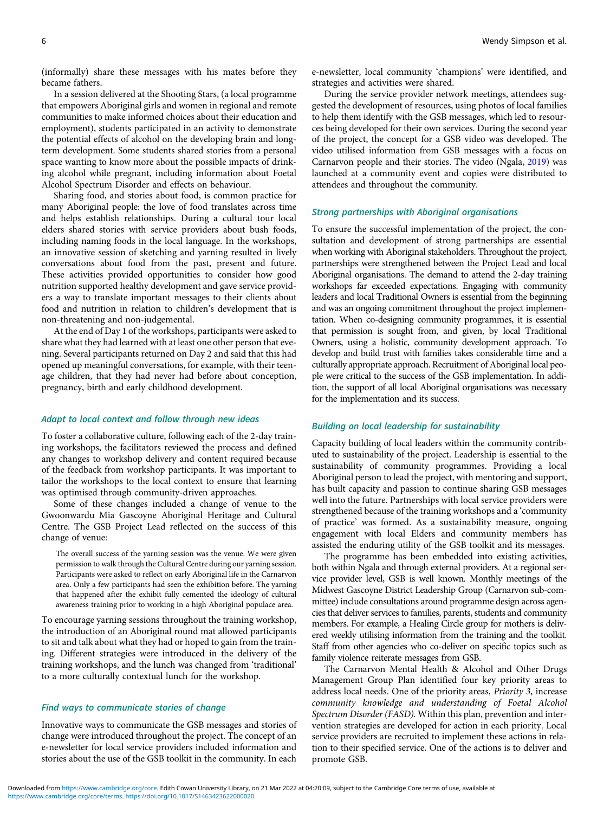(informally) share these messages with his mates before they became fathers.

In a session delivered at the Shooting Stars, (a local programme that empowers Aboriginal girls and women in regional and remote communities to make informed choices about their education and employment), students participated in an activity to demonstrate the potential effects of alcohol on the developing brain and longterm development. Some students shared stories from a personal space wanting to know more about the possible impacts of drinking alcohol while pregnant, including information about Foetal Alcohol Spectrum Disorder and effects on behaviour.

Sharing food, and stories about food, is common practice for many Aboriginal people: the love of food translates across time and helps establish relationships. During a cultural tour local elders shared stories with service providers about bush foods, including naming foods in the local language. In the workshops, an innovative session of sketching and yarning resulted in lively conversations about food from the past, present and future. These activities provided opportunities to consider how good nutrition supported healthy development and gave service providers a way to translate important messages to their clients about food and nutrition in relation to children's development that is non-threatening and non-judgemental.

At the end of Day 1 of the workshops, participants were asked to share what they had learned with at least one other person that evening. Several participants returned on Day 2 and said that this had opened up meaningful conversations, for example, with their teenage children, that they had never had before about conception, pregnancy, birth and early childhood development.

#### Adapt to local context and follow through new ideas

To foster a collaborative culture, following each of the 2-day training workshops, the facilitators reviewed the process and defined any changes to workshop delivery and content required because of the feedback from workshop participants. It was important to tailor the workshops to the local context to ensure that learning was optimised through community-driven approaches.

Some of these changes included a change of venue to the Gwoonwardu Mia Gascoyne Aboriginal Heritage and Cultural Centre. The GSB Project Lead reflected on the success of this change of venue:

The overall success of the yarning session was the venue. We were given permission to walk through the Cultural Centre during our yarning session. Participants were asked to reflect on early Aboriginal life in the Carnarvon area. Only a few participants had seen the exhibition before. The yarning that happened after the exhibit fully cemented the ideology of cultural awareness training prior to working in a high Aboriginal populace area.

To encourage yarning sessions throughout the training workshop, the introduction of an Aboriginal round mat allowed participants to sit and talk about what they had or hoped to gain from the training. Different strategies were introduced in the delivery of the training workshops, and the lunch was changed from 'traditional' to a more culturally contextual lunch for the workshop.

#### Find ways to communicate stories of change

Innovative ways to communicate the GSB messages and stories of change were introduced throughout the project. The concept of an e-newsletter for local service providers included information and stories about the use of the GSB toolkit in the community. In each

e-newsletter, local community 'champions' were identified, and strategies and activities were shared.

During the service provider network meetings, attendees suggested the development of resources, using photos of local families to help them identify with the GSB messages, which led to resources being developed for their own services. During the second year of the project, the concept for a GSB video was developed. The video utilised information from GSB messages with a focus on Carnarvon people and their stories. The video (Ngala, [2019](#page-9-0)) was launched at a community event and copies were distributed to attendees and throughout the community.

## Strong partnerships with Aboriginal organisations

To ensure the successful implementation of the project, the consultation and development of strong partnerships are essential when working with Aboriginal stakeholders. Throughout the project, partnerships were strengthened between the Project Lead and local Aboriginal organisations. The demand to attend the 2-day training workshops far exceeded expectations. Engaging with community leaders and local Traditional Owners is essential from the beginning and was an ongoing commitment throughout the project implementation. When co-designing community programmes, it is essential that permission is sought from, and given, by local Traditional Owners, using a holistic, community development approach. To develop and build trust with families takes considerable time and a culturally appropriate approach. Recruitment of Aboriginal local people were critical to the success of the GSB implementation. In addition, the support of all local Aboriginal organisations was necessary for the implementation and its success.

#### Building on local leadership for sustainability

Capacity building of local leaders within the community contributed to sustainability of the project. Leadership is essential to the sustainability of community programmes. Providing a local Aboriginal person to lead the project, with mentoring and support, has built capacity and passion to continue sharing GSB messages well into the future. Partnerships with local service providers were strengthened because of the training workshops and a 'community of practice' was formed. As a sustainability measure, ongoing engagement with local Elders and community members has assisted the enduring utility of the GSB toolkit and its messages.

The programme has been embedded into existing activities, both within Ngala and through external providers. At a regional service provider level, GSB is well known. Monthly meetings of the Midwest Gascoyne District Leadership Group (Carnarvon sub-committee) include consultations around programme design across agencies that deliver services to families, parents, students and community members. For example, a Healing Circle group for mothers is delivered weekly utilising information from the training and the toolkit. Staff from other agencies who co-deliver on specific topics such as family violence reiterate messages from GSB.

The Carnarvon Mental Health & Alcohol and Other Drugs Management Group Plan identified four key priority areas to address local needs. One of the priority areas, Priority 3, increase community knowledge and understanding of Foetal Alcohol Spectrum Disorder (FASD). Within this plan, prevention and intervention strategies are developed for action in each priority. Local service providers are recruited to implement these actions in relation to their specified service. One of the actions is to deliver and promote GSB.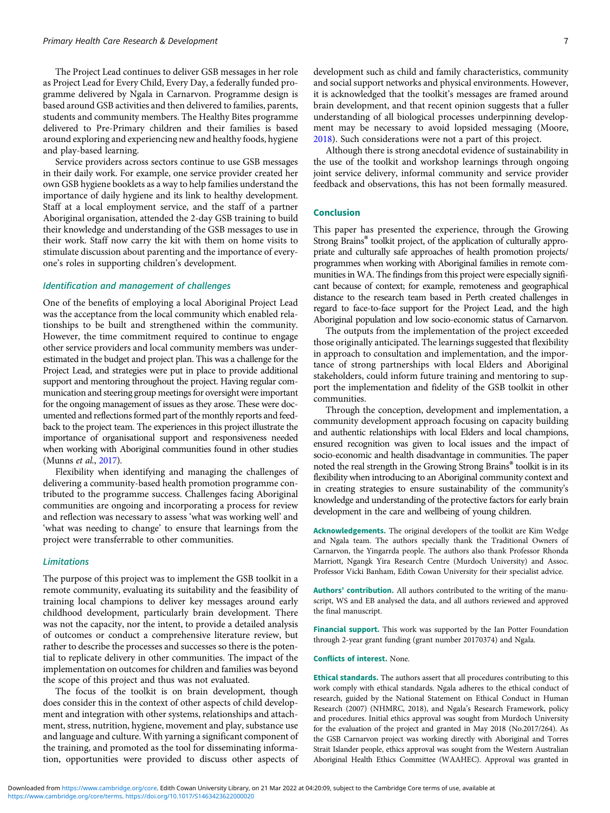The Project Lead continues to deliver GSB messages in her role as Project Lead for Every Child, Every Day, a federally funded programme delivered by Ngala in Carnarvon. Programme design is based around GSB activities and then delivered to families, parents, students and community members. The Healthy Bites programme delivered to Pre-Primary children and their families is based around exploring and experiencing new and healthy foods, hygiene and play-based learning.

Service providers across sectors continue to use GSB messages in their daily work. For example, one service provider created her own GSB hygiene booklets as a way to help families understand the importance of daily hygiene and its link to healthy development. Staff at a local employment service, and the staff of a partner Aboriginal organisation, attended the 2-day GSB training to build their knowledge and understanding of the GSB messages to use in their work. Staff now carry the kit with them on home visits to stimulate discussion about parenting and the importance of everyone's roles in supporting children's development.

## Identification and management of challenges

One of the benefits of employing a local Aboriginal Project Lead was the acceptance from the local community which enabled relationships to be built and strengthened within the community. However, the time commitment required to continue to engage other service providers and local community members was underestimated in the budget and project plan. This was a challenge for the Project Lead, and strategies were put in place to provide additional support and mentoring throughout the project. Having regular communication and steering group meetings for oversight were important for the ongoing management of issues as they arose. These were documented and reflections formed part of the monthly reports and feedback to the project team. The experiences in this project illustrate the importance of organisational support and responsiveness needed when working with Aboriginal communities found in other studies (Munns et al., [2017](#page-9-0)).

Flexibility when identifying and managing the challenges of delivering a community-based health promotion programme contributed to the programme success. Challenges facing Aboriginal communities are ongoing and incorporating a process for review and reflection was necessary to assess 'what was working well' and 'what was needing to change' to ensure that learnings from the project were transferrable to other communities.

#### Limitations

The purpose of this project was to implement the GSB toolkit in a remote community, evaluating its suitability and the feasibility of training local champions to deliver key messages around early childhood development, particularly brain development. There was not the capacity, nor the intent, to provide a detailed analysis of outcomes or conduct a comprehensive literature review, but rather to describe the processes and successes so there is the potential to replicate delivery in other communities. The impact of the implementation on outcomes for children and families was beyond the scope of this project and thus was not evaluated.

The focus of the toolkit is on brain development, though does consider this in the context of other aspects of child development and integration with other systems, relationships and attachment, stress, nutrition, hygiene, movement and play, substance use and language and culture. With yarning a significant component of the training, and promoted as the tool for disseminating information, opportunities were provided to discuss other aspects of development such as child and family characteristics, community and social support networks and physical environments. However, it is acknowledged that the toolkit's messages are framed around brain development, and that recent opinion suggests that a fuller understanding of all biological processes underpinning development may be necessary to avoid lopsided messaging (Moore, [2018](#page-9-0)). Such considerations were not a part of this project.

Although there is strong anecdotal evidence of sustainability in the use of the toolkit and workshop learnings through ongoing joint service delivery, informal community and service provider feedback and observations, this has not been formally measured.

# Conclusion

This paper has presented the experience, through the Growing Strong Brains® toolkit project, of the application of culturally appropriate and culturally safe approaches of health promotion projects/ programmes when working with Aboriginal families in remote communities in WA. The findings from this project were especially significant because of context; for example, remoteness and geographical distance to the research team based in Perth created challenges in regard to face-to-face support for the Project Lead, and the high Aboriginal population and low socio-economic status of Carnarvon.

The outputs from the implementation of the project exceeded those originally anticipated. The learnings suggested that flexibility in approach to consultation and implementation, and the importance of strong partnerships with local Elders and Aboriginal stakeholders, could inform future training and mentoring to support the implementation and fidelity of the GSB toolkit in other communities.

Through the conception, development and implementation, a community development approach focusing on capacity building and authentic relationships with local Elders and local champions, ensured recognition was given to local issues and the impact of socio-economic and health disadvantage in communities. The paper noted the real strength in the Growing Strong Brains® toolkit is in its flexibility when introducing to an Aboriginal community context and in creating strategies to ensure sustainability of the community's knowledge and understanding of the protective factors for early brain development in the care and wellbeing of young children.

Acknowledgements. The original developers of the toolkit are Kim Wedge and Ngala team. The authors specially thank the Traditional Owners of Carnarvon, the Yingarrda people. The authors also thank Professor Rhonda Marriott, Ngangk Yira Research Centre (Murdoch University) and Assoc. Professor Vicki Banham, Edith Cowan University for their specialist advice.

Authors' contribution. All authors contributed to the writing of the manuscript, WS and EB analysed the data, and all authors reviewed and approved the final manuscript.

Financial support. This work was supported by the Ian Potter Foundation through 2-year grant funding (grant number 20170374) and Ngala.

#### Conflicts of interest. None.

Ethical standards. The authors assert that all procedures contributing to this work comply with ethical standards. Ngala adheres to the ethical conduct of research, guided by the National Statement on Ethical Conduct in Human Research (2007) (NHMRC, 2018), and Ngala's Research Framework, policy and procedures. Initial ethics approval was sought from Murdoch University for the evaluation of the project and granted in May 2018 (No.2017/264). As the GSB Carnarvon project was working directly with Aboriginal and Torres Strait Islander people, ethics approval was sought from the Western Australian Aboriginal Health Ethics Committee (WAAHEC). Approval was granted in